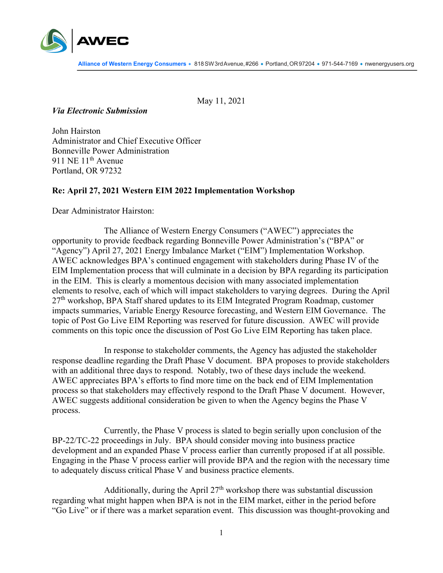

May 11, 2021

## *Via Electronic Submission*

John Hairston Administrator and Chief Executive Officer Bonneville Power Administration 911 NE 11<sup>th</sup> Avenue Portland, OR 97232

## **Re: April 27, 2021 Western EIM 2022 Implementation Workshop**

Dear Administrator Hairston:

The Alliance of Western Energy Consumers ("AWEC") appreciates the opportunity to provide feedback regarding Bonneville Power Administration's ("BPA" or "Agency") April 27, 2021 Energy Imbalance Market ("EIM") Implementation Workshop. AWEC acknowledges BPA's continued engagement with stakeholders during Phase IV of the EIM Implementation process that will culminate in a decision by BPA regarding its participation in the EIM. This is clearly a momentous decision with many associated implementation elements to resolve, each of which will impact stakeholders to varying degrees. During the April 27<sup>th</sup> workshop, BPA Staff shared updates to its EIM Integrated Program Roadmap, customer impacts summaries, Variable Energy Resource forecasting, and Western EIM Governance. The topic of Post Go Live EIM Reporting was reserved for future discussion. AWEC will provide comments on this topic once the discussion of Post Go Live EIM Reporting has taken place.

In response to stakeholder comments, the Agency has adjusted the stakeholder response deadline regarding the Draft Phase V document. BPA proposes to provide stakeholders with an additional three days to respond. Notably, two of these days include the weekend. AWEC appreciates BPA's efforts to find more time on the back end of EIM Implementation process so that stakeholders may effectively respond to the Draft Phase V document. However, AWEC suggests additional consideration be given to when the Agency begins the Phase V process.

Currently, the Phase V process is slated to begin serially upon conclusion of the BP-22/TC-22 proceedings in July. BPA should consider moving into business practice development and an expanded Phase V process earlier than currently proposed if at all possible. Engaging in the Phase V process earlier will provide BPA and the region with the necessary time to adequately discuss critical Phase V and business practice elements.

Additionally, during the April  $27<sup>th</sup>$  workshop there was substantial discussion regarding what might happen when BPA is not in the EIM market, either in the period before "Go Live" or if there was a market separation event. This discussion was thought-provoking and